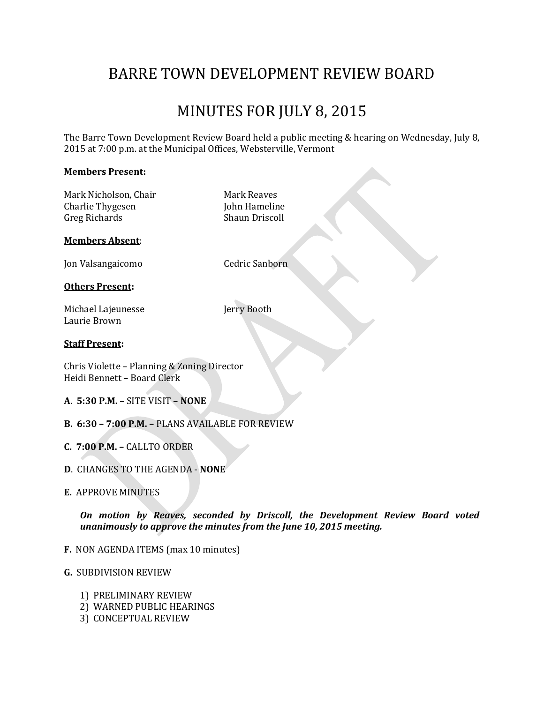## BARRE TOWN DEVELOPMENT REVIEW BOARD

### MINUTES FOR JULY 8, 2015

The Barre Town Development Review Board held a public meeting & hearing on Wednesday, July 8, 2015 at 7:00 p.m. at the Municipal Offices, Websterville, Vermont

#### **Members Present:**

Mark Nicholson, Chair **Mark Reaves** Charlie Thygesen John Hameline Greg Richards Shaun Driscoll

#### **Members Absent**:

Jon Valsangaicomo Cedric Sanborn

#### **Others Present:**

Michael Lajeunesse Jerry Booth Laurie Brown

#### **Staff Present:**

Chris Violette – Planning & Zoning Director Heidi Bennett – Board Clerk

- **A**. **5:30 P.M.** SITE VISIT **NONE**
- **B. 6:30 – 7:00 P.M. –** PLANS AVAILABLE FOR REVIEW
- **C. 7:00 P.M. –** CALLTO ORDER
- **D**. CHANGES TO THE AGENDA **NONE**
- **E.** APPROVE MINUTES

*On motion by Reaves, seconded by Driscoll, the Development Review Board voted unanimously to approve the minutes from the June 10, 2015 meeting.*

**F.** NON AGENDA ITEMS (max 10 minutes)

**G.** SUBDIVISION REVIEW

- 1) PRELIMINARY REVIEW
- 2) WARNED PUBLIC HEARINGS
- 3) CONCEPTUAL REVIEW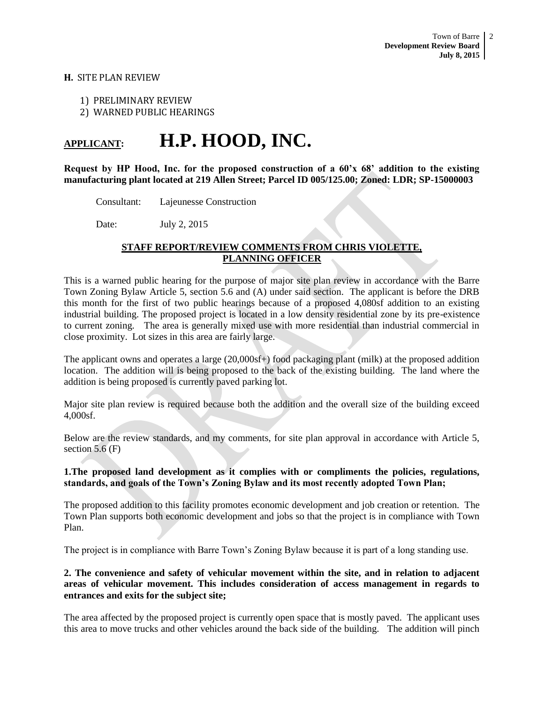#### **H.** SITE PLAN REVIEW

- 1) PRELIMINARY REVIEW
- 2) WARNED PUBLIC HEARINGS

# **APPLICANT: H.P. HOOD, INC.**

**Request by HP Hood, Inc. for the proposed construction of a 60'x 68' addition to the existing manufacturing plant located at 219 Allen Street; Parcel ID 005/125.00; Zoned: LDR; SP-15000003**

Consultant: Lajeunesse Construction

Date: July 2, 2015

#### **STAFF REPORT/REVIEW COMMENTS FROM CHRIS VIOLETTE, PLANNING OFFICER**

This is a warned public hearing for the purpose of major site plan review in accordance with the Barre Town Zoning Bylaw Article 5, section 5.6 and (A) under said section. The applicant is before the DRB this month for the first of two public hearings because of a proposed 4,080sf addition to an existing industrial building. The proposed project is located in a low density residential zone by its pre-existence to current zoning. The area is generally mixed use with more residential than industrial commercial in close proximity. Lot sizes in this area are fairly large.

The applicant owns and operates a large (20,000sf+) food packaging plant (milk) at the proposed addition location. The addition will is being proposed to the back of the existing building. The land where the addition is being proposed is currently paved parking lot.

Major site plan review is required because both the addition and the overall size of the building exceed 4,000sf.

Below are the review standards, and my comments, for site plan approval in accordance with Article 5, section  $5.6$  (F)

#### **1.The proposed land development as it complies with or compliments the policies, regulations, standards, and goals of the Town's Zoning Bylaw and its most recently adopted Town Plan;**

The proposed addition to this facility promotes economic development and job creation or retention. The Town Plan supports both economic development and jobs so that the project is in compliance with Town Plan.

The project is in compliance with Barre Town's Zoning Bylaw because it is part of a long standing use.

#### **2. The convenience and safety of vehicular movement within the site, and in relation to adjacent areas of vehicular movement. This includes consideration of access management in regards to entrances and exits for the subject site;**

The area affected by the proposed project is currently open space that is mostly paved. The applicant uses this area to move trucks and other vehicles around the back side of the building. The addition will pinch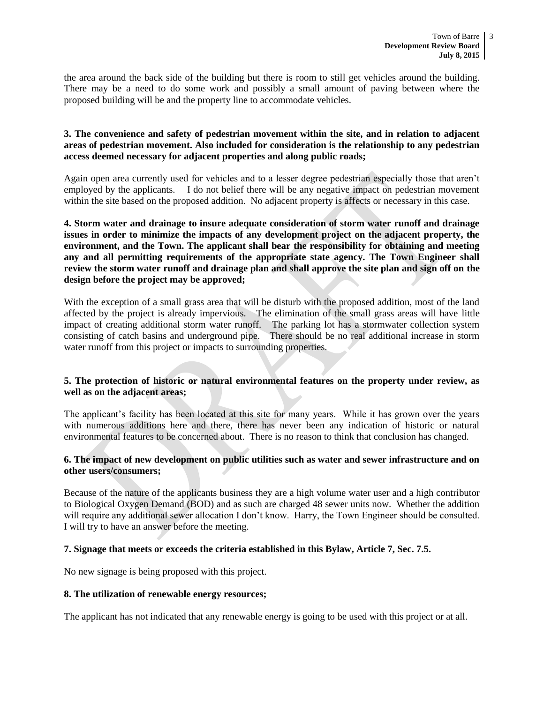the area around the back side of the building but there is room to still get vehicles around the building. There may be a need to do some work and possibly a small amount of paving between where the proposed building will be and the property line to accommodate vehicles.

#### **3. The convenience and safety of pedestrian movement within the site, and in relation to adjacent areas of pedestrian movement. Also included for consideration is the relationship to any pedestrian access deemed necessary for adjacent properties and along public roads;**

Again open area currently used for vehicles and to a lesser degree pedestrian especially those that aren't employed by the applicants. I do not belief there will be any negative impact on pedestrian movement within the site based on the proposed addition. No adjacent property is affects or necessary in this case.

**4. Storm water and drainage to insure adequate consideration of storm water runoff and drainage issues in order to minimize the impacts of any development project on the adjacent property, the environment, and the Town. The applicant shall bear the responsibility for obtaining and meeting any and all permitting requirements of the appropriate state agency. The Town Engineer shall review the storm water runoff and drainage plan and shall approve the site plan and sign off on the design before the project may be approved;** 

With the exception of a small grass area that will be disturb with the proposed addition, most of the land affected by the project is already impervious. The elimination of the small grass areas will have little impact of creating additional storm water runoff. The parking lot has a stormwater collection system consisting of catch basins and underground pipe. There should be no real additional increase in storm water runoff from this project or impacts to surrounding properties.

#### **5. The protection of historic or natural environmental features on the property under review, as well as on the adjacent areas;**

The applicant's facility has been located at this site for many years. While it has grown over the years with numerous additions here and there, there has never been any indication of historic or natural environmental features to be concerned about. There is no reason to think that conclusion has changed.

#### **6. The impact of new development on public utilities such as water and sewer infrastructure and on other users/consumers;**

Because of the nature of the applicants business they are a high volume water user and a high contributor to Biological Oxygen Demand (BOD) and as such are charged 48 sewer units now. Whether the addition will require any additional sewer allocation I don't know. Harry, the Town Engineer should be consulted. I will try to have an answer before the meeting.

#### **7. Signage that meets or exceeds the criteria established in this Bylaw, Article 7, Sec. 7.5.**

No new signage is being proposed with this project.

#### **8. The utilization of renewable energy resources;**

The applicant has not indicated that any renewable energy is going to be used with this project or at all.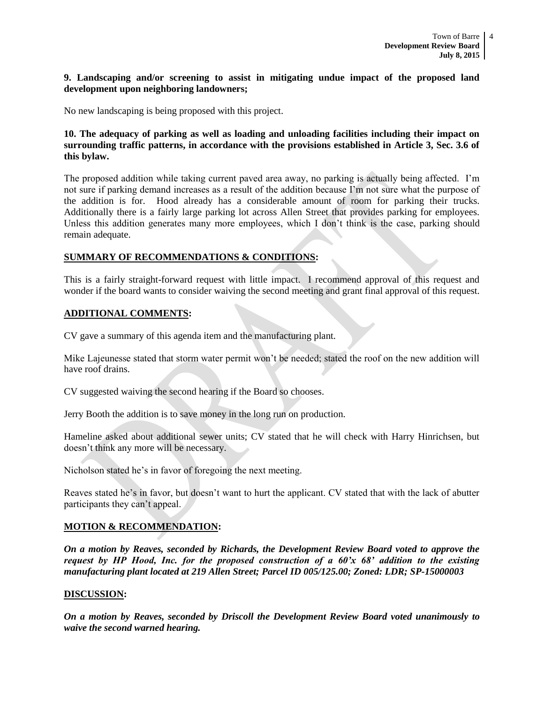#### **9. Landscaping and/or screening to assist in mitigating undue impact of the proposed land development upon neighboring landowners;**

No new landscaping is being proposed with this project.

#### **10. The adequacy of parking as well as loading and unloading facilities including their impact on surrounding traffic patterns, in accordance with the provisions established in Article 3, Sec. 3.6 of this bylaw.**

The proposed addition while taking current paved area away, no parking is actually being affected. I'm not sure if parking demand increases as a result of the addition because I'm not sure what the purpose of the addition is for. Hood already has a considerable amount of room for parking their trucks. Additionally there is a fairly large parking lot across Allen Street that provides parking for employees. Unless this addition generates many more employees, which I don't think is the case, parking should remain adequate.

#### **SUMMARY OF RECOMMENDATIONS & CONDITIONS:**

This is a fairly straight-forward request with little impact. I recommend approval of this request and wonder if the board wants to consider waiving the second meeting and grant final approval of this request.

#### **ADDITIONAL COMMENTS:**

CV gave a summary of this agenda item and the manufacturing plant.

Mike Lajeunesse stated that storm water permit won't be needed; stated the roof on the new addition will have roof drains.

CV suggested waiving the second hearing if the Board so chooses.

Jerry Booth the addition is to save money in the long run on production.

Hameline asked about additional sewer units; CV stated that he will check with Harry Hinrichsen, but doesn't think any more will be necessary.

Nicholson stated he's in favor of foregoing the next meeting.

Reaves stated he's in favor, but doesn't want to hurt the applicant. CV stated that with the lack of abutter participants they can't appeal.

#### **MOTION & RECOMMENDATION:**

*On a motion by Reaves, seconded by Richards, the Development Review Board voted to approve the request by HP Hood, Inc. for the proposed construction of a 60'x 68' addition to the existing manufacturing plant located at 219 Allen Street; Parcel ID 005/125.00; Zoned: LDR; SP-15000003*

#### **DISCUSSION:**

*On a motion by Reaves, seconded by Driscoll the Development Review Board voted unanimously to waive the second warned hearing.*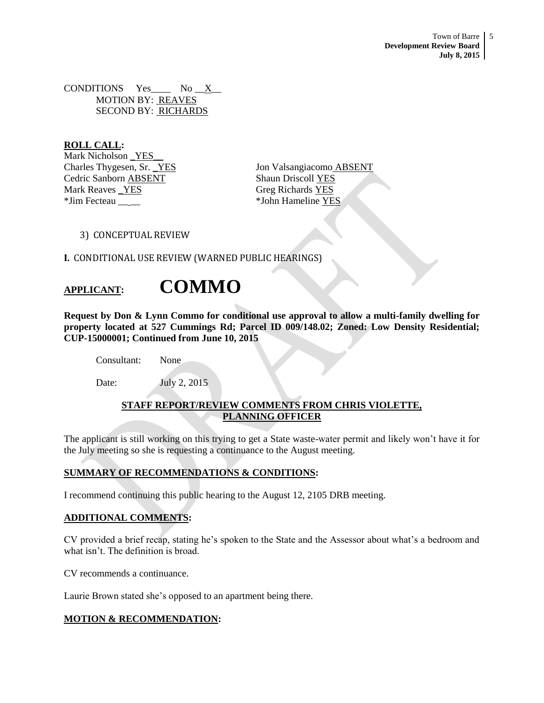CONDITIONS  $Yes$  No  $X$ MOTION BY: REAVES SECOND BY: RICHARDS

**ROLL CALL:** Mark Nicholson \_YES\_ Charles Thygesen, Sr. <u>YES</u> Jon Valsangiacomo ABSENT Cedric Sanborn ABSENT Shaun Driscoll YES Mark Reaves YES Greg Richards YES \*Jim Fecteau \_\_ \_\_ \*John Hameline YES

3) CONCEPTUAL REVIEW

**I.** CONDITIONAL USE REVIEW (WARNED PUBLIC HEARINGS)

## **APPLICANT: COMMO**

**Request by Don & Lynn Commo for conditional use approval to allow a multi-family dwelling for property located at 527 Cummings Rd; Parcel ID 009/148.02; Zoned: Low Density Residential; CUP-15000001; Continued from June 10, 2015** 

Consultant: None

Date: **July 2, 2015** 

#### **STAFF REPORT/REVIEW COMMENTS FROM CHRIS VIOLETTE, PLANNING OFFICER**

The applicant is still working on this trying to get a State waste-water permit and likely won't have it for the July meeting so she is requesting a continuance to the August meeting.

#### **SUMMARY OF RECOMMENDATIONS & CONDITIONS:**

I recommend continuing this public hearing to the August 12, 2105 DRB meeting.

#### **ADDITIONAL COMMENTS:**

CV provided a brief recap, stating he's spoken to the State and the Assessor about what's a bedroom and what isn't. The definition is broad.

CV recommends a continuance.

Laurie Brown stated she's opposed to an apartment being there.

#### **MOTION & RECOMMENDATION:**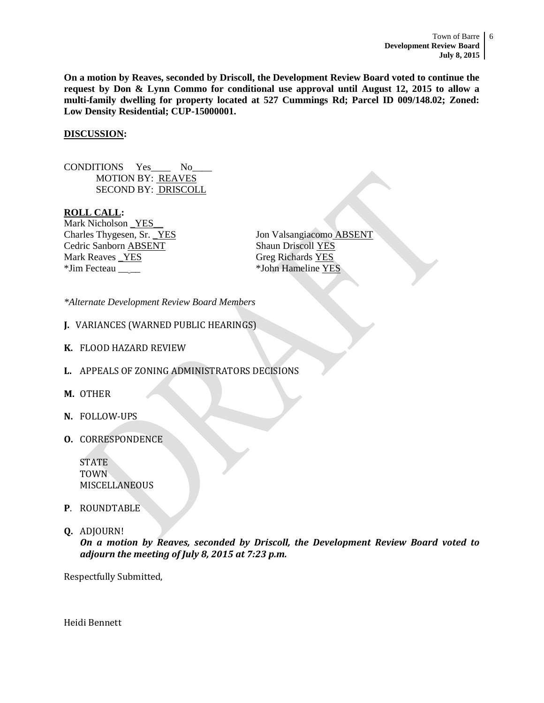**On a motion by Reaves, seconded by Driscoll, the Development Review Board voted to continue the request by Don & Lynn Commo for conditional use approval until August 12, 2015 to allow a multi-family dwelling for property located at 527 Cummings Rd; Parcel ID 009/148.02; Zoned: Low Density Residential; CUP-15000001.**

#### **DISCUSSION:**

CONDITIONS Yes No MOTION BY: REAVES SECOND BY: DRISCOLL

#### **ROLL CALL:**

Mark Nicholson \_YES\_\_ Cedric Sanborn **ABSENT** Shaun Driscoll YES Mark Reaves <u>YES</u> Greg Richards YES \*Jim Fecteau \_\_ \_\_ \*John Hameline YES

Charles Thygesen, Sr. <u>YES</u> Jon Valsangiacomo **ABSENT** 

*\*Alternate Development Review Board Members*

- **J.** VARIANCES (WARNED PUBLIC HEARINGS)
- **K.** FLOOD HAZARD REVIEW
- **L.** APPEALS OF ZONING ADMINISTRATORS DECISIONS
- **M.** OTHER
- **N.** FOLLOW-UPS
- **O.** CORRESPONDENCE

STATE TOWN MISCELLANEOUS

- **P**. ROUNDTABLE
- **Q.** ADJOURN!

*On a motion by Reaves, seconded by Driscoll, the Development Review Board voted to adjourn the meeting of July 8, 2015 at 7:23 p.m.*

Respectfully Submitted,

Heidi Bennett